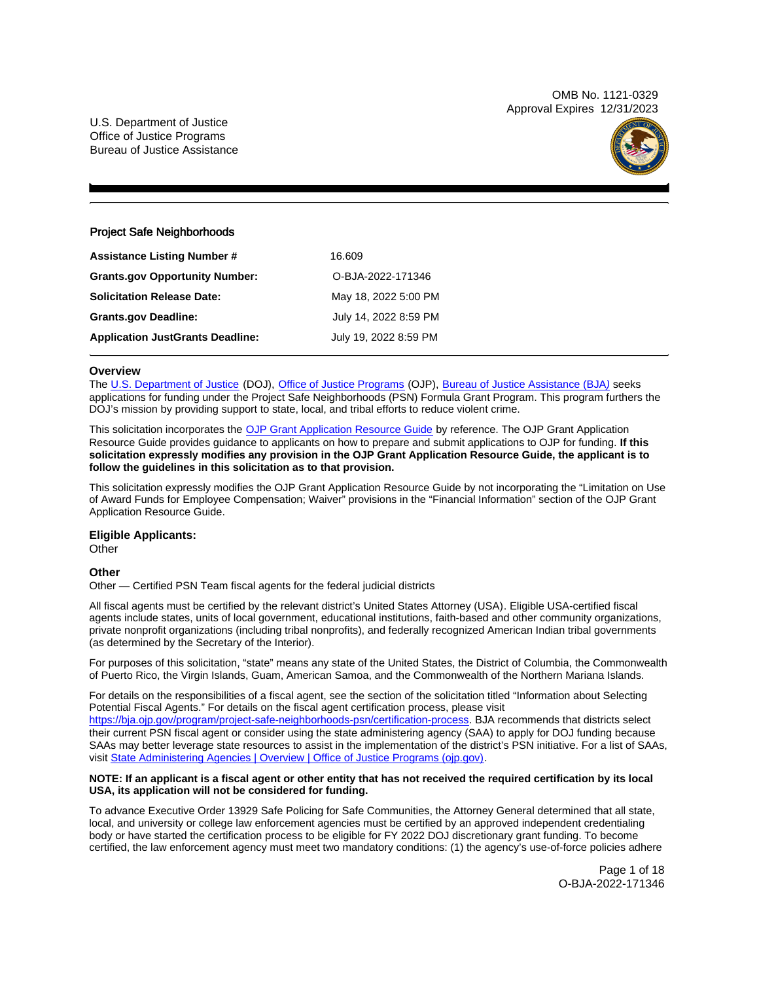OMB No. 1121-0329 Approval Expires 12/31/2023

U.S. Department of Justice Office of Justice Programs Bureau of Justice Assistance



# Project Safe Neighborhoods

| <b>Assistance Listing Number #</b>      | 16.609                |
|-----------------------------------------|-----------------------|
| <b>Grants.gov Opportunity Number:</b>   | O-BJA-2022-171346     |
| <b>Solicitation Release Date:</b>       | May 18, 2022 5:00 PM  |
| <b>Grants.gov Deadline:</b>             | July 14, 2022 8:59 PM |
| <b>Application JustGrants Deadline:</b> | July 19, 2022 8:59 PM |
|                                         |                       |

# **Overview**

The [U.S. Department of Justice](https://www.usdoj.gov/) (DOJ), [Office of Justice Programs](https://www.ojp.usdoj.gov/) (OJP), [Bureau of Justice Assistance \(BJA](https://bja.ojp.gov/)[\)](https://bja.ojp.gov/) seeks applications for funding under the Project Safe Neighborhoods (PSN) Formula Grant Program. This program furthers the DOJ's mission by providing support to state, local, and tribal efforts to reduce violent crime.

This solicitation incorporates the [OJP Grant Application Resource Guide](https://www.ojp.gov/funding/Apply/Resources/Grant-App-Resource-Guide.htm) by reference. The OJP Grant Application Resource Guide provides guidance to applicants on how to prepare and submit applications to OJP for funding. **If this solicitation expressly modifies any provision in the OJP Grant Application Resource Guide, the applicant is to follow the guidelines in this solicitation as to that provision.** 

This solicitation expressly modifies the OJP Grant Application Resource Guide by not incorporating the "Limitation on Use of Award Funds for Employee Compensation; Waiver" provisions in the "Financial Information" section of the OJP Grant Application Resource Guide.

**Eligible Applicants:** 

**Other** 

# **Other**

Other — Certified PSN Team fiscal agents for the federal judicial districts

All fiscal agents must be certified by the relevant district's United States Attorney (USA). Eligible USA-certified fiscal agents include states, units of local government, educational institutions, faith-based and other community organizations, private nonprofit organizations (including tribal nonprofits), and federally recognized American Indian tribal governments (as determined by the Secretary of the Interior).

For purposes of this solicitation, "state" means any state of the United States, the District of Columbia, the Commonwealth of Puerto Rico, the Virgin Islands, Guam, American Samoa, and the Commonwealth of the Northern Mariana Islands.

For details on the responsibilities of a fiscal agent, see the section of the solicitation titled "Information about Selecting Potential Fiscal Agents." For details on the fiscal agent certification process, please visit [https://bja.ojp.gov/program/project-safe-neighborhoods-psn/certification-process.](https://bja.ojp.gov/program/project-safe-neighborhoods-psn/certification-process) BJA recommends that districts select their current PSN fiscal agent or consider using the state administering agency (SAA) to apply for DOJ funding because SAAs may better leverage state resources to assist in the implementation of the district's PSN initiative. For a list of SAAs, visit [State Administering Agencies | Overview | Office of Justice Programs \(ojp.gov\).](https://www.ojp.gov/funding/state-administering-agencies/overview)

## **NOTE: If an applicant is a fiscal agent or other entity that has not received the required certification by its local USA, its application will not be considered for funding.**

To advance Executive Order 13929 Safe Policing for Safe Communities, the Attorney General determined that all state, local, and university or college law enforcement agencies must be certified by an approved independent credentialing body or have started the certification process to be eligible for FY 2022 DOJ discretionary grant funding. To become certified, the law enforcement agency must meet two mandatory conditions: (1) the agency's use-of-force policies adhere

> Page 1 of 18 O-BJA-2022-171346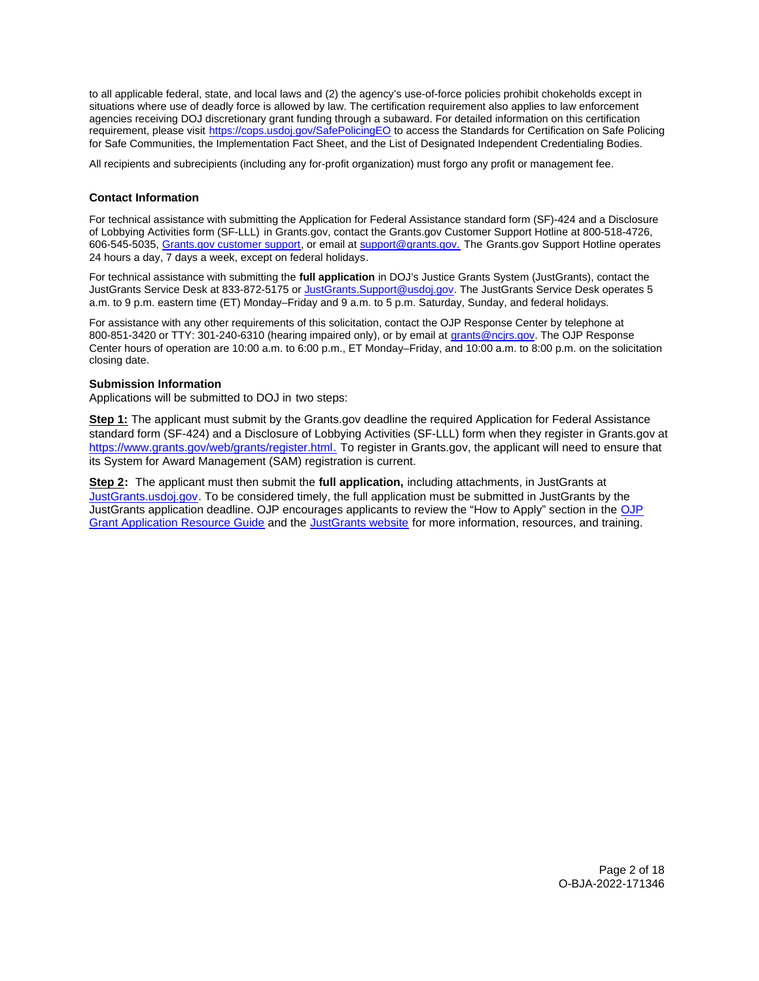<span id="page-1-0"></span>to all applicable federal, state, and local laws and (2) the agency's use-of-force policies prohibit chokeholds except in situations where use of deadly force is allowed by law. The certification requirement also applies to law enforcement agencies receiving DOJ discretionary grant funding through a subaward. For detailed information on this certification requirement, please visit [https://cops.usdoj.gov/SafePolicingEO](https://cops.usdoj.gov/SafePolicingEO%20) to access the Standards for Certification on Safe Policing for Safe Communities, the Implementation Fact Sheet, and the List of Designated Independent Credentialing Bodies.

All recipients and subrecipients (including any for-profit organization) must forgo any profit or management fee.

# **Contact Information**

For technical assistance with submitting the Application for Federal Assistance standard form (SF)-424 and a Disclosure of Lobbying Activities form (SF-LLL) in [Grants.gov](https://Grants.gov), contact the [Grants.gov](https://Grants.gov) Customer Support Hotline at 800-518-4726, 606-545-5035, [Grants.gov customer support,](https://www.grants.gov/web/grants/support.html) or email at [support@grants.gov.](mailto:support@grants.gov) The [Grants.gov](https://Grants.gov) Support Hotline operates 24 hours a day, 7 days a week, except on federal holidays.

For technical assistance with submitting the **full application** in DOJ's Justice Grants System (JustGrants), contact the JustGrants Service Desk at 833-872-5175 or [JustGrants.Support@usdoj.gov.](mailto:JustGrants.Support@usdoj.gov) The JustGrants Service Desk operates 5 a.m. to 9 p.m. eastern time (ET) Monday–Friday and 9 a.m. to 5 p.m. Saturday, Sunday, and federal holidays.

For assistance with any other requirements of this solicitation, contact the OJP Response Center by telephone at 800-851-3420 or TTY: 301-240-6310 (hearing impaired only), or by email at [grants@ncjrs.gov.](mailto:grants@ncjrs.gov) The OJP Response Center hours of operation are 10:00 a.m. to 6:00 p.m., ET Monday–Friday, and 10:00 a.m. to 8:00 p.m. on the solicitation closing date.

## **Submission Information**

Applications will be submitted to DOJ in two steps:

**Step 1:** The applicant must submit by the [Grants.gov](https://Grants.gov) deadline the required Application for Federal Assistance standard form (SF-424) and a Disclosure of Lobbying Activities (SF-LLL) form when they register in [Grants.gov](https://Grants.gov) at [https://www.grants.gov/web/grants/register.html.](https://www.grants.gov/web/grants/register.html) To register in [Grants.gov](https://Grants.gov), the applicant will need to ensure that its System for Award Management (SAM) registration is current.

 **Step 2:** The applicant must then submit the **full application,** including attachments, in JustGrants at [JustGrants.usdoj.gov.](https://justicegrants.usdoj.gov/) To be considered timely, the full application must be submitted in JustGrants by the JustGrants application deadline. OJP encourages applicants to review the "How to Apply" section in the [OJP](https://www.ojp.gov/funding/apply/ojp-grant-application-resource-guide#apply)  [Grant Application Resource Guide](https://www.ojp.gov/funding/apply/ojp-grant-application-resource-guide#apply) and the [JustGrants website](https://justicegrants.usdoj.gov/news) for more information, resources, and training.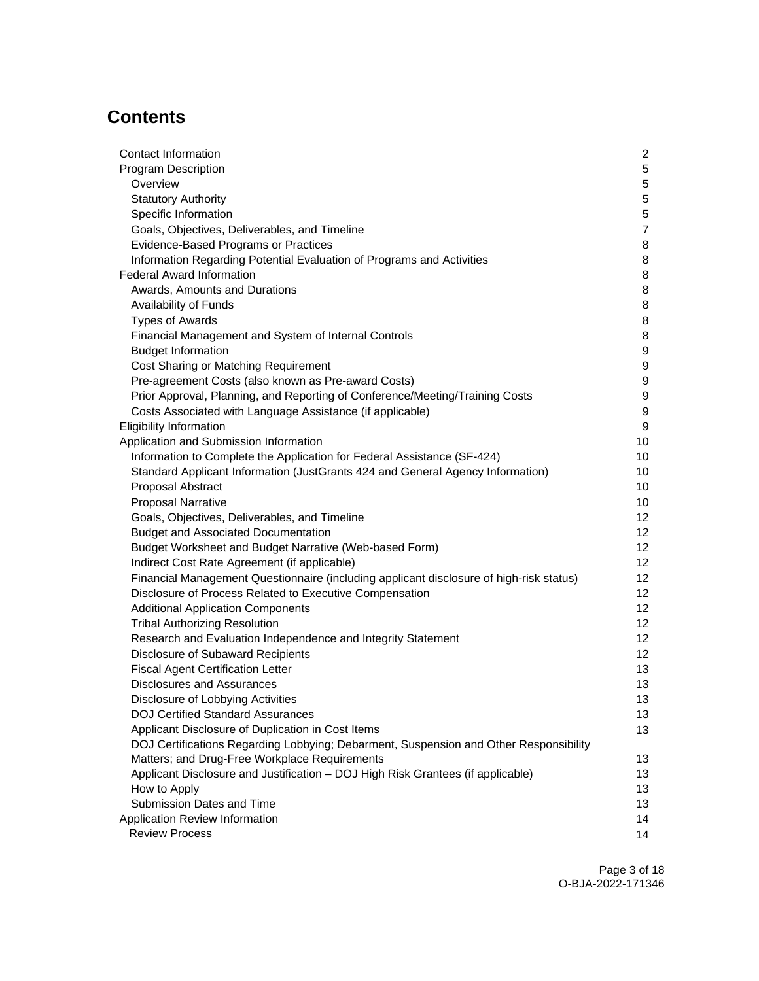# **Contents**

| Contact Information                                                                     | $\overline{c}$  |
|-----------------------------------------------------------------------------------------|-----------------|
| Program Description                                                                     | $\overline{5}$  |
| Overview                                                                                | $\sqrt{5}$      |
| <b>Statutory Authority</b>                                                              | $\,$ 5 $\,$     |
| Specific Information                                                                    | $\,$ 5 $\,$     |
| Goals, Objectives, Deliverables, and Timeline                                           | $\overline{7}$  |
| Evidence-Based Programs or Practices                                                    | 8               |
| Information Regarding Potential Evaluation of Programs and Activities                   | 8               |
| <b>Federal Award Information</b>                                                        | 8               |
| Awards, Amounts and Durations                                                           | 8               |
| Availability of Funds                                                                   | 8               |
| <b>Types of Awards</b>                                                                  | 8               |
| Financial Management and System of Internal Controls                                    | 8               |
| <b>Budget Information</b>                                                               | 9               |
| Cost Sharing or Matching Requirement                                                    | 9               |
| Pre-agreement Costs (also known as Pre-award Costs)                                     | 9               |
| Prior Approval, Planning, and Reporting of Conference/Meeting/Training Costs            | 9               |
| Costs Associated with Language Assistance (if applicable)                               | 9               |
| <b>Eligibility Information</b>                                                          | 9               |
| Application and Submission Information                                                  | 10              |
| Information to Complete the Application for Federal Assistance (SF-424)                 | 10              |
| Standard Applicant Information (JustGrants 424 and General Agency Information)          | 10              |
| Proposal Abstract                                                                       | 10              |
| <b>Proposal Narrative</b>                                                               | 10              |
| Goals, Objectives, Deliverables, and Timeline                                           | 12              |
| <b>Budget and Associated Documentation</b>                                              | 12 <sup>°</sup> |
| Budget Worksheet and Budget Narrative (Web-based Form)                                  | 12 <sup>2</sup> |
| Indirect Cost Rate Agreement (if applicable)                                            | 12 <sup>2</sup> |
| Financial Management Questionnaire (including applicant disclosure of high-risk status) | 12 <sup>2</sup> |
| Disclosure of Process Related to Executive Compensation                                 | 12              |
| <b>Additional Application Components</b>                                                | 12 <sup>2</sup> |
| <b>Tribal Authorizing Resolution</b>                                                    | 12 <sup>°</sup> |
| Research and Evaluation Independence and Integrity Statement                            | 12 <sup>2</sup> |
| Disclosure of Subaward Recipients                                                       | 12              |
| <b>Fiscal Agent Certification Letter</b>                                                | 13              |
| Disclosures and Assurances                                                              | 13              |
| Disclosure of Lobbying Activities                                                       | 13              |
| <b>DOJ Certified Standard Assurances</b>                                                | 13              |
| Applicant Disclosure of Duplication in Cost Items                                       |                 |
| DOJ Certifications Regarding Lobbying; Debarment, Suspension and Other Responsibility   | 13              |
| Matters; and Drug-Free Workplace Requirements                                           | 13              |
| Applicant Disclosure and Justification - DOJ High Risk Grantees (if applicable)         | 13              |
| How to Apply                                                                            | 13              |
| Submission Dates and Time                                                               | 13              |
| Application Review Information                                                          | 14              |
| <b>Review Process</b>                                                                   | 14              |
|                                                                                         |                 |

Page 3 of 18 O-BJA-2022-171346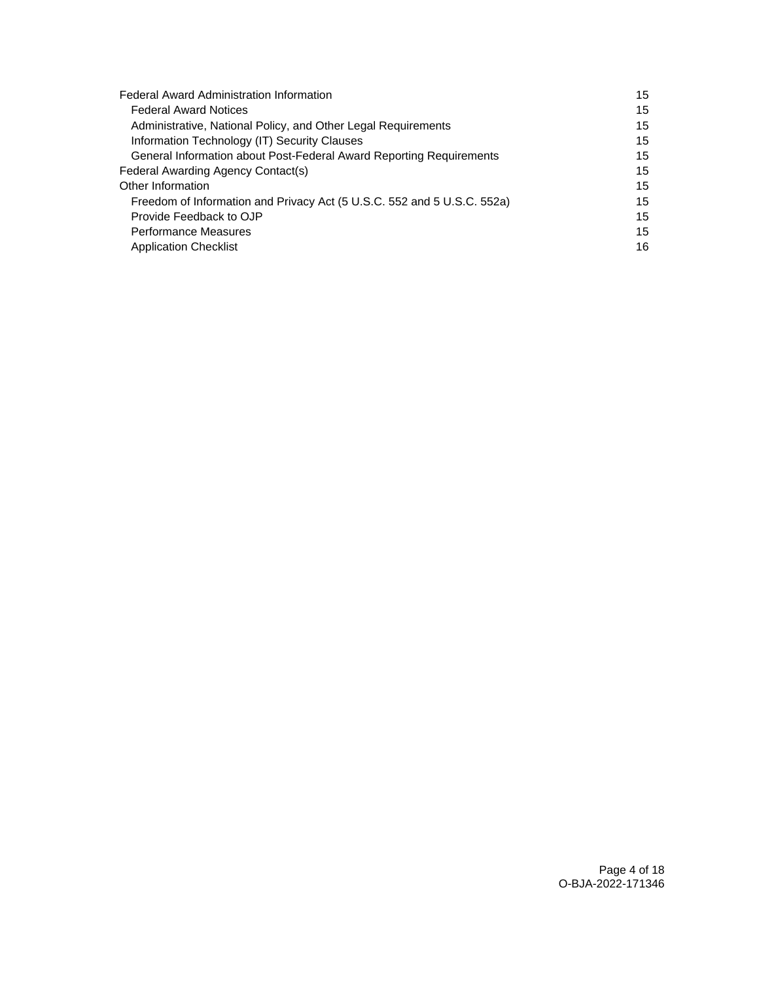| <b>Federal Award Administration Information</b>                         | 15 |
|-------------------------------------------------------------------------|----|
| <b>Federal Award Notices</b>                                            | 15 |
| Administrative, National Policy, and Other Legal Requirements           | 15 |
| Information Technology (IT) Security Clauses                            | 15 |
| General Information about Post-Federal Award Reporting Requirements     | 15 |
| Federal Awarding Agency Contact(s)                                      | 15 |
| Other Information                                                       | 15 |
| Freedom of Information and Privacy Act (5 U.S.C. 552 and 5 U.S.C. 552a) | 15 |
| Provide Feedback to OJP                                                 | 15 |
| <b>Performance Measures</b>                                             | 15 |
| <b>Application Checklist</b>                                            | 16 |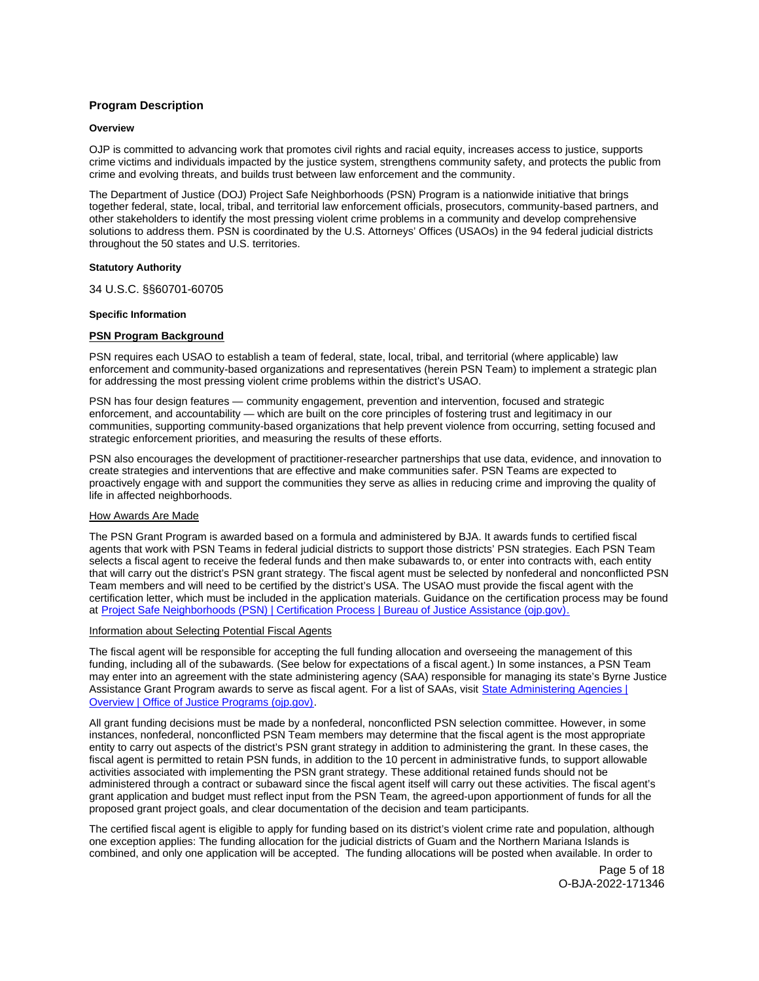# <span id="page-4-0"></span>**Program Description**

#### **Overview**

OJP is committed to advancing work that promotes civil rights and racial equity, increases access to justice, supports crime victims and individuals impacted by the justice system, strengthens community safety, and protects the public from crime and evolving threats, and builds trust between law enforcement and the community.

The Department of Justice (DOJ) Project Safe Neighborhoods (PSN) Program is a nationwide initiative that brings together federal, state, local, tribal, and territorial law enforcement officials, prosecutors, community-based partners, and other stakeholders to identify the most pressing violent crime problems in a community and develop comprehensive solutions to address them. PSN is coordinated by the U.S. Attorneys' Offices (USAOs) in the 94 federal judicial districts throughout the 50 states and U.S. territories.

#### **Statutory Authority**

34 U.S.C. §§60701-60705

#### **Specific Information**

#### **PSN Program Background**

PSN requires each USAO to establish a team of federal, state, local, tribal, and territorial (where applicable) law enforcement and community-based organizations and representatives (herein PSN Team) to implement a strategic plan for addressing the most pressing violent crime problems within the district's USAO.

PSN has four design features — community engagement, prevention and intervention, focused and strategic enforcement, and accountability — which are built on the core principles of fostering trust and legitimacy in our communities, supporting community-based organizations that help prevent violence from occurring, setting focused and strategic enforcement priorities, and measuring the results of these efforts.

PSN also encourages the development of practitioner-researcher partnerships that use data, evidence, and innovation to create strategies and interventions that are effective and make communities safer. PSN Teams are expected to proactively engage with and support the communities they serve as allies in reducing crime and improving the quality of life in affected neighborhoods.

## How Awards Are Made

The PSN Grant Program is awarded based on a formula and administered by BJA. It awards funds to certified fiscal agents that work with PSN Teams in federal judicial districts to support those districts' PSN strategies. Each PSN Team selects a fiscal agent to receive the federal funds and then make subawards to, or enter into contracts with, each entity that will carry out the district's PSN grant strategy. The fiscal agent must be selected by nonfederal and nonconflicted PSN Team members and will need to be certified by the district's USA. The USAO must provide the fiscal agent with the certification letter, which must be included in the application materials. Guidance on the certification process may be found at [Project Safe Neighborhoods \(PSN\) | Certification Process | Bureau of Justice Assistance \(ojp.gov\).](https://bja.ojp.gov/program/project-safe-neighborhoods-psn/certification-process)

#### Information about Selecting Potential Fiscal Agents

The fiscal agent will be responsible for accepting the full funding allocation and overseeing the management of this funding, including all of the subawards. (See below for expectations of a fiscal agent.) In some instances, a PSN Team may enter into an agreement with the state administering agency (SAA) responsible for managing its state's Byrne Justice Assistance Grant Program awards to serve as fiscal agent. For a list of SAAs, visit State Administering Agencies | [Overview | Office of Justice Programs \(ojp.gov\).](https://www.ojp.gov/funding/state-administering-agencies/overview)

All grant funding decisions must be made by a nonfederal, nonconflicted PSN selection committee. However, in some instances, nonfederal, nonconflicted PSN Team members may determine that the fiscal agent is the most appropriate entity to carry out aspects of the district's PSN grant strategy in addition to administering the grant. In these cases, the fiscal agent is permitted to retain PSN funds, in addition to the 10 percent in administrative funds, to support allowable activities associated with implementing the PSN grant strategy. These additional retained funds should not be administered through a contract or subaward since the fiscal agent itself will carry out these activities. The fiscal agent's grant application and budget must reflect input from the PSN Team, the agreed-upon apportionment of funds for all the proposed grant project goals, and clear documentation of the decision and team participants.

The certified fiscal agent is eligible to apply for funding based on its district's violent crime rate and population, although one exception applies: The funding allocation for the judicial districts of Guam and the Northern Mariana Islands is combined, and only one application will be accepted. The funding allocations will be posted when available. In order to

> Page 5 of 18 O-BJA-2022-171346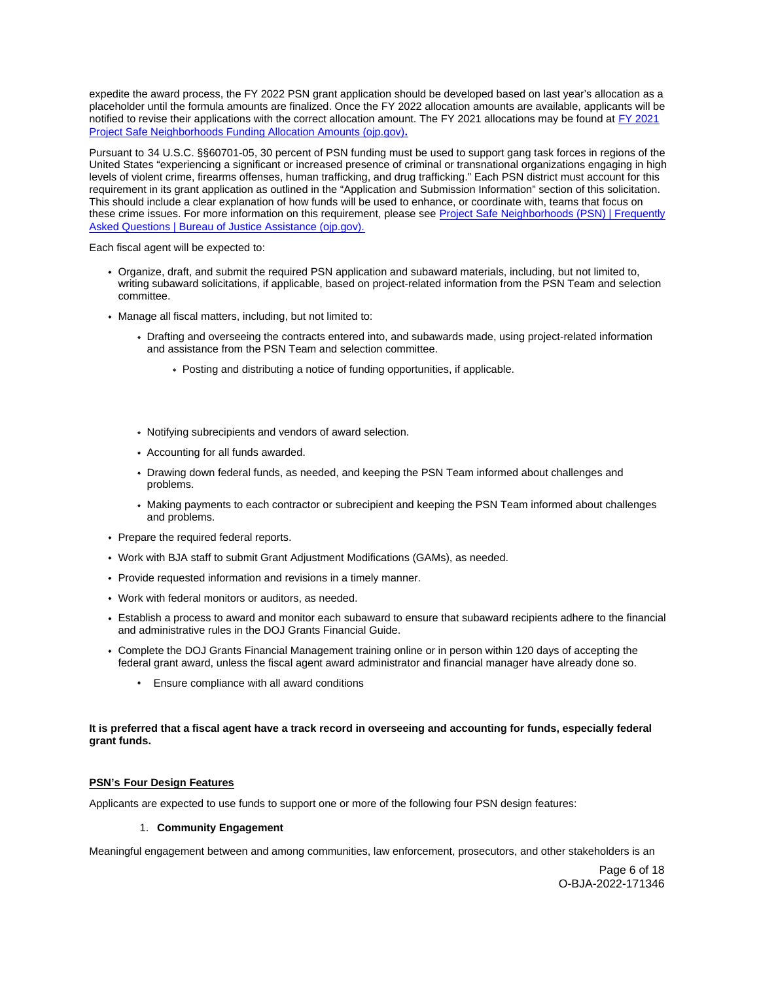expedite the award process, the FY 2022 PSN grant application should be developed based on last year's allocation as a placeholder until the formula amounts are finalized. Once the FY 2022 allocation amounts are available, applicants will be notified to revise their applications with the correct allocation amount. The FY 2021 allocations may be found at [FY 2021](https://bja.ojp.gov/sites/g/files/xyckuh186/files/media/document/fy-2021-psn-funding-allocations-amounts.pdf)  [Project Safe Neighborhoods Funding Allocation Amounts \(ojp.gov\)](https://bja.ojp.gov/sites/g/files/xyckuh186/files/media/document/fy-2021-psn-funding-allocations-amounts.pdf)**.** 

Pursuant to 34 U.S.C. §§60701-05, 30 percent of PSN funding must be used to support gang task forces in regions of the United States "experiencing a significant or increased presence of criminal or transnational organizations engaging in high levels of violent crime, firearms offenses, human trafficking, and drug trafficking." Each PSN district must account for this requirement in its grant application as outlined in the "Application and Submission Information" section of this solicitation. This should include a clear explanation of how funds will be used to enhance, or coordinate with, teams that focus on these crime issues. For more information on this requirement, please see [Project Safe Neighborhoods \(PSN\) | Frequently](https://bja.ojp.gov/program/project-safe-neighborhoods-psn/faqs)  [Asked Questions | Bureau of Justice Assistance \(ojp.gov\).](https://bja.ojp.gov/program/project-safe-neighborhoods-psn/faqs)

Each fiscal agent will be expected to:

- Organize, draft, and submit the required PSN application and subaward materials, including, but not limited to, writing subaward solicitations, if applicable, based on project-related information from the PSN Team and selection committee.
- Manage all fiscal matters, including, but not limited to:
	- Drafting and overseeing the contracts entered into, and subawards made, using project-related information and assistance from the PSN Team and selection committee.
		- Posting and distributing a notice of funding opportunities, if applicable.
	- Notifying subrecipients and vendors of award selection.
	- Accounting for all funds awarded.
	- Drawing down federal funds, as needed, and keeping the PSN Team informed about challenges and problems.
	- Making payments to each contractor or subrecipient and keeping the PSN Team informed about challenges and problems.
- Prepare the required federal reports.
- Work with BJA staff to submit Grant Adjustment Modifications (GAMs), as needed.
- Provide requested information and revisions in a timely manner.
- Work with federal monitors or auditors, as needed.
- Establish a process to award and monitor each subaward to ensure that subaward recipients adhere to the financial and administrative rules in the DOJ Grants Financial Guide.
- Complete the DOJ Grants Financial Management training online or in person within 120 days of accepting the federal grant award, unless the fiscal agent award administrator and financial manager have already done so.
	- **Ensure compliance with all award conditions**

# **It is preferred that a fiscal agent have a track record in overseeing and accounting for funds, especially federal grant funds.**

# **PSN's Four Design Features**

Applicants are expected to use funds to support one or more of the following four PSN design features:

## 1. **Community Engagement**

Meaningful engagement between and among communities, law enforcement, prosecutors, and other stakeholders is an

Page 6 of 18 O-BJA-2022-171346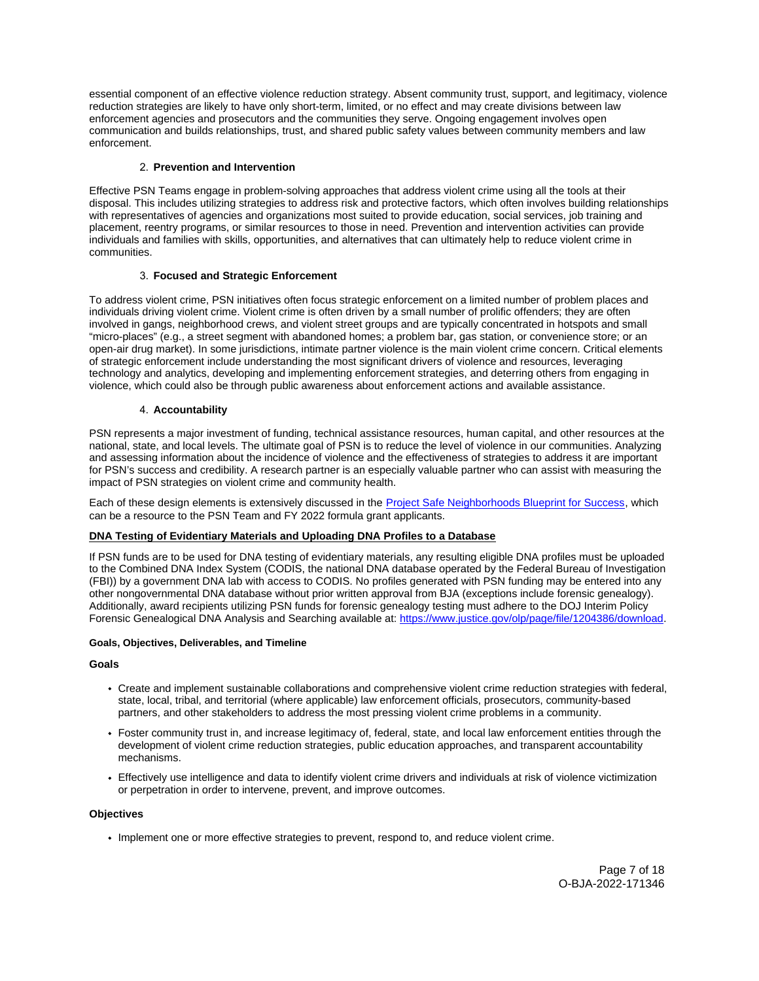<span id="page-6-0"></span>essential component of an effective violence reduction strategy. Absent community trust, support, and legitimacy, violence reduction strategies are likely to have only short-term, limited, or no effect and may create divisions between law enforcement agencies and prosecutors and the communities they serve. Ongoing engagement involves open communication and builds relationships, trust, and shared public safety values between community members and law enforcement.

# 2. **Prevention and Intervention**

Effective PSN Teams engage in problem-solving approaches that address violent crime using all the tools at their disposal. This includes utilizing strategies to address risk and protective factors, which often involves building relationships with representatives of agencies and organizations most suited to provide education, social services, job training and placement, reentry programs, or similar resources to those in need. Prevention and intervention activities can provide individuals and families with skills, opportunities, and alternatives that can ultimately help to reduce violent crime in communities.

# 3. **Focused and Strategic Enforcement**

To address violent crime, PSN initiatives often focus strategic enforcement on a limited number of problem places and individuals driving violent crime. Violent crime is often driven by a small number of prolific offenders; they are often involved in gangs, neighborhood crews, and violent street groups and are typically concentrated in hotspots and small "micro-places" (e.g., a street segment with abandoned homes; a problem bar, gas station, or convenience store; or an open-air drug market). In some jurisdictions, intimate partner violence is the main violent crime concern. Critical elements of strategic enforcement include understanding the most significant drivers of violence and resources, leveraging technology and analytics, developing and implementing enforcement strategies, and deterring others from engaging in violence, which could also be through public awareness about enforcement actions and available assistance.

# 4. **Accountability**

PSN represents a major investment of funding, technical assistance resources, human capital, and other resources at the national, state, and local levels. The ultimate goal of PSN is to reduce the level of violence in our communities. Analyzing and assessing information about the incidence of violence and the effectiveness of strategies to address it are important for PSN's success and credibility. A research partner is an especially valuable partner who can assist with measuring the impact of PSN strategies on violent crime and community health.

Each of these design elements is extensively discussed in the **Project Safe Neighborhoods Blueprint for Success**, which can be a resource to the PSN Team and FY 2022 formula grant applicants.

# **DNA Testing of Evidentiary Materials and Uploading DNA Profiles to a Database**

If PSN funds are to be used for DNA testing of evidentiary materials, any resulting eligible DNA profiles must be uploaded to the Combined DNA Index System (CODIS, the national DNA database operated by the Federal Bureau of Investigation (FBI)) by a government DNA lab with access to CODIS. No profiles generated with PSN funding may be entered into any other nongovernmental DNA database without prior written approval from BJA (exceptions include forensic genealogy). Additionally, award recipients utilizing PSN funds for forensic genealogy testing must adhere to the DOJ Interim Policy Forensic Genealogical DNA Analysis and Searching available at: [https://www.justice.gov/olp/page/file/1204386/download.](https://www.justice.gov/olp/page/file/1204386/download) 

## **Goals, Objectives, Deliverables, and Timeline**

## **Goals**

- Create and implement sustainable collaborations and comprehensive violent crime reduction strategies with federal, state, local, tribal, and territorial (where applicable) law enforcement officials, prosecutors, community-based partners, and other stakeholders to address the most pressing violent crime problems in a community.
- Foster community trust in, and increase legitimacy of, federal, state, and local law enforcement entities through the development of violent crime reduction strategies, public education approaches, and transparent accountability mechanisms.
- Effectively use intelligence and data to identify violent crime drivers and individuals at risk of violence victimization or perpetration in order to intervene, prevent, and improve outcomes.

## **Objectives**

Implement one or more effective strategies to prevent, respond to, and reduce violent crime.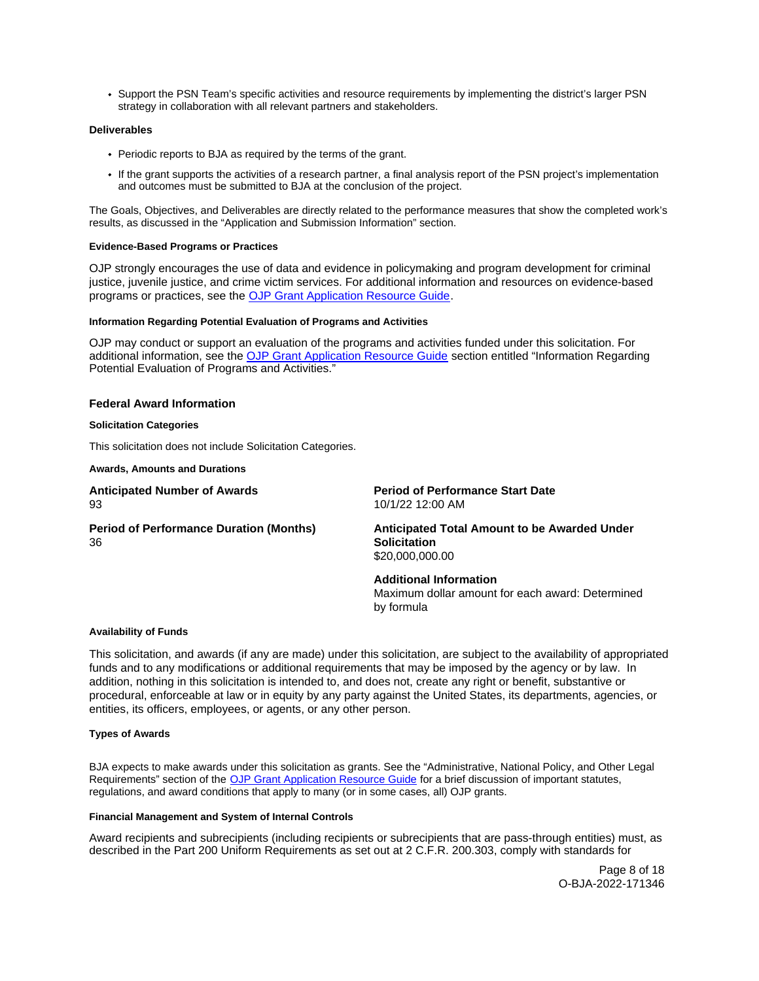<span id="page-7-0"></span>Support the PSN Team's specific activities and resource requirements by implementing the district's larger PSN strategy in collaboration with all relevant partners and stakeholders.

## **Deliverables**

- Periodic reports to BJA as required by the terms of the grant.
- If the grant supports the activities of a research partner, a final analysis report of the PSN project's implementation and outcomes must be submitted to BJA at the conclusion of the project.

The Goals, Objectives, and Deliverables are directly related to the performance measures that show the completed work's results, as discussed in the "Application and Submission Information" section.

# **Evidence-Based Programs or Practices**

OJP strongly encourages the use of data and evidence in policymaking and program development for criminal justice, juvenile justice, and crime victim services. For additional information and resources on evidence-based programs or practices, see the [OJP Grant Application Resource Guide.](https://www.ojp.gov/funding/apply/ojp-grant-application-resource-guide#evidence-based)

## **Information Regarding Potential Evaluation of Programs and Activities**

OJP may conduct or support an evaluation of the programs and activities funded under this solicitation. For additional information, see the [OJP Grant Application Resource Guide](https://www.ojp.gov/funding/Apply/Resources/Grant-App-Resource-Guide.htm) section entitled "Information Regarding Potential Evaluation of Programs and Activities."

# **Federal Award Information**

#### **Solicitation Categories**

This solicitation does not include Solicitation Categories.

**Awards, Amounts and Durations** 

**Anticipated Number of Awards Period of Performance Start Date**  93 10/1/22 12:00 AM

**Period of Performance Duration (Months) Anticipated Total Amount to be Awarded Under**  36 **Solicitation** 

\$[20,000,000.00](https://20,000,000.00)

**Additional Information**  Maximum dollar amount for each award: Determined by formula

# **Availability of Funds**

This solicitation, and awards (if any are made) under this solicitation, are subject to the availability of appropriated funds and to any modifications or additional requirements that may be imposed by the agency or by law. In addition, nothing in this solicitation is intended to, and does not, create any right or benefit, substantive or procedural, enforceable at law or in equity by any party against the United States, its departments, agencies, or entities, its officers, employees, or agents, or any other person.

## **Types of Awards**

BJA expects to make awards under this solicitation as grants. See the "Administrative, National Policy, and Other Legal Requirements" section of the [OJP Grant Application Resource Guide](https://www.ojp.gov/funding/apply/ojp-grant-application-resource-guide#administrative) for a brief discussion of important statutes, regulations, and award conditions that apply to many (or in some cases, all) OJP grants.

# **Financial Management and System of Internal Controls**

Award recipients and subrecipients (including recipients or subrecipients that are pass-through entities) must, as described in the Part 200 Uniform Requirements as set out at 2 C.F.R. 200.303, comply with standards for

> Page 8 of 18 O-BJA-2022-171346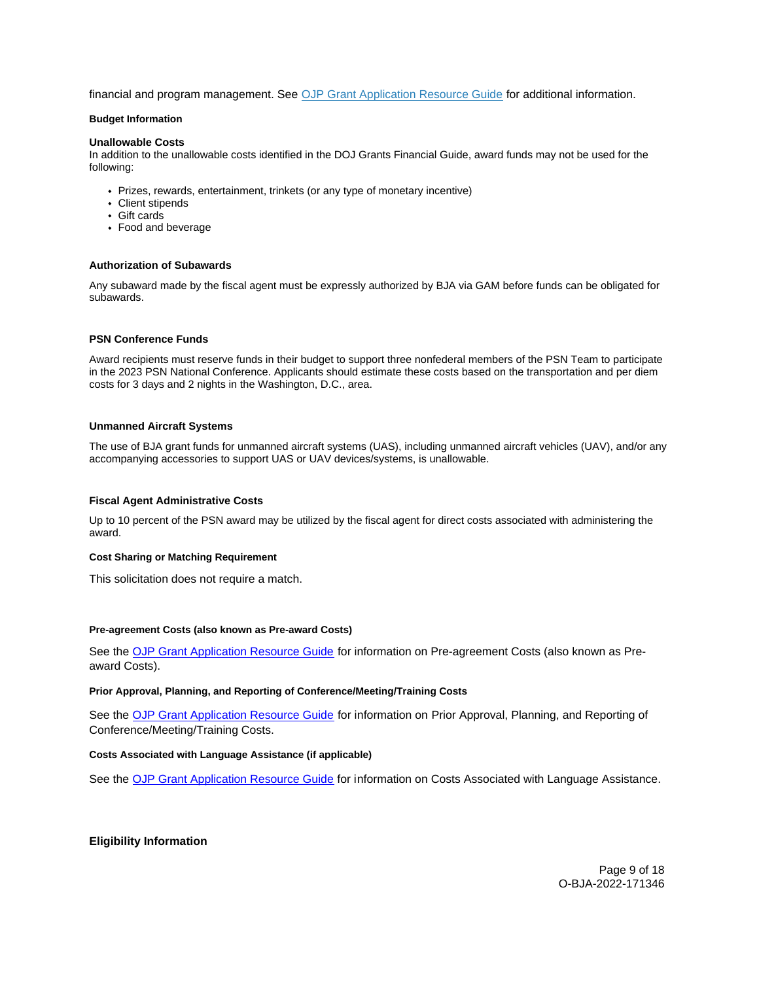<span id="page-8-0"></span>financial and program management. See [OJP Grant Application Resource Guide](https://www.ojp.gov/funding/apply/ojp-grant-application-resource-guide#fm-internal-controls) for additional information.

# **Budget Information**

#### **Unallowable Costs**

In addition to the unallowable costs identified in the DOJ Grants Financial Guide, award funds may not be used for the following:

- Prizes, rewards, entertainment, trinkets (or any type of monetary incentive)
- Client stipends
- Gift cards
- Food and beverage

#### **Authorization of Subawards**

Any subaward made by the fiscal agent must be expressly authorized by BJA via GAM before funds can be obligated for subawards.

#### **PSN Conference Funds**

Award recipients must reserve funds in their budget to support three nonfederal members of the PSN Team to participate in the 2023 PSN National Conference. Applicants should estimate these costs based on the transportation and per diem costs for 3 days and 2 nights in the Washington, D.C., area.

## **Unmanned Aircraft Systems**

The use of BJA grant funds for unmanned aircraft systems (UAS), including unmanned aircraft vehicles (UAV), and/or any accompanying accessories to support UAS or UAV devices/systems, is unallowable.

## **Fiscal Agent Administrative Costs**

Up to 10 percent of the PSN award may be utilized by the fiscal agent for direct costs associated with administering the award.

#### **Cost Sharing or Matching Requirement**

This solicitation does not require a match.

#### **Pre-agreement Costs (also known as Pre-award Costs)**

See the [OJP Grant Application Resource Guide](https://www.ojp.gov/funding/apply/ojp-grant-application-resource-guide#pre-agreement-costs) for information on Pre-agreement Costs (also known as Preaward Costs).

# **Prior Approval, Planning, and Reporting of Conference/Meeting/Training Costs**

See the [OJP Grant Application Resource Guide](https://www.ojp.gov/funding/apply/ojp-grant-application-resource-guide#prior-approval) for information on Prior Approval, Planning, and Reporting of Conference/Meeting/Training Costs.

## **Costs Associated with Language Assistance (if applicable)**

See the [OJP Grant Application Resource Guide](https://www.ojp.gov/funding/apply/ojp-grant-application-resource-guide#costs-associated) for information on Costs Associated with Language Assistance.

## **Eligibility Information**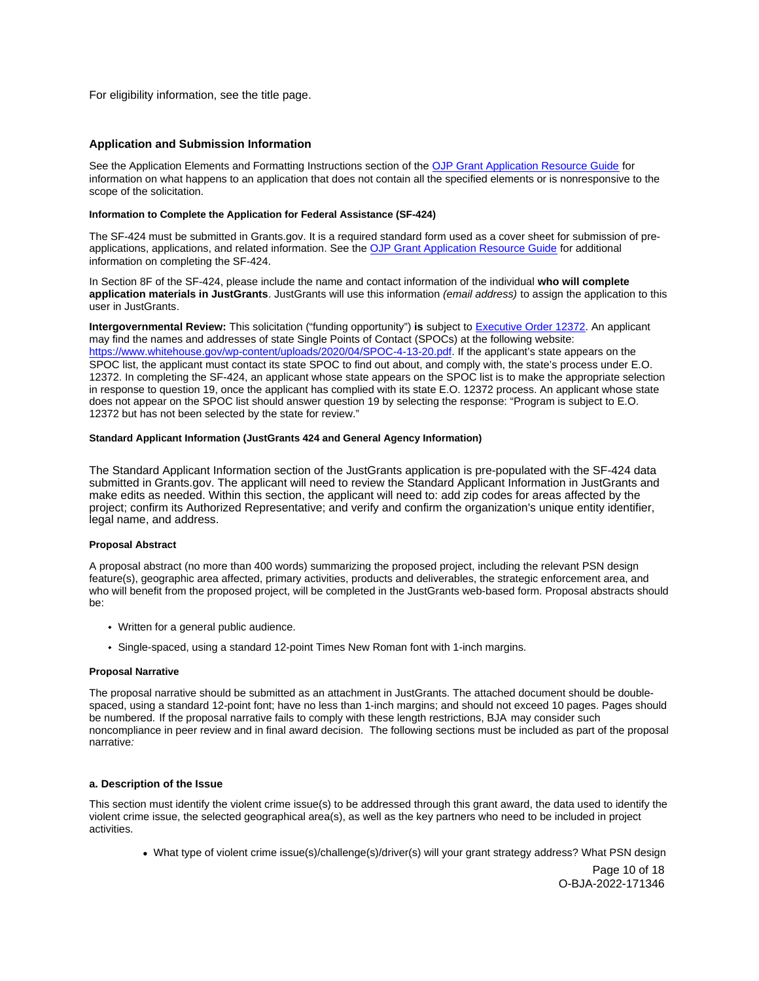<span id="page-9-0"></span>For eligibility information, see the title page.

# **Application and Submission Information**

See the Application Elements and Formatting Instructions section of the [OJP Grant Application Resource Guide](https://www.ojp.gov/funding/apply/ojp-grant-application-resource-guide#application-elements) for information on what happens to an application that does not contain all the specified elements or is nonresponsive to the scope of the solicitation.

#### **Information to Complete the Application for Federal Assistance (SF-424)**

The SF-424 must be submitted in [Grants.gov.](https://Grants.gov) It is a required standard form used as a cover sheet for submission of preapplications, applications, and related information. See the [OJP Grant Application Resource Guide](https://www.ojp.gov/funding/apply/ojp-grant-application-resource-guide#complete-application) for additional information on completing the SF-424.

In Section 8F of the SF-424, please include the name and contact information of the individual **who will complete application materials in JustGrants**. JustGrants will use this information (email address) to assign the application to this user in JustGrants.

**Intergovernmental Review:** This solicitation ("funding opportunity") **is** subject to [Executive Order 12372.](https://www.archives.gov/federal-register/codification/executive-order/12372.html) An applicant may find the names and addresses of state Single Points of Contact (SPOCs) at the following website: [https://www.whitehouse.gov/wp-content/uploads/2020/04/SPOC-4-13-20.pdf.](https://www.whitehouse.gov/wp-content/uploads/2020/04/SPOC-4-13-20.pdf) If the applicant's state appears on the SPOC list, the applicant must contact its state SPOC to find out about, and comply with, the state's process under E.O. 12372. In completing the SF-424, an applicant whose state appears on the SPOC list is to make the appropriate selection in response to question 19, once the applicant has complied with its state E.O. 12372 process. An applicant whose state does not appear on the SPOC list should answer question 19 by selecting the response: "Program is subject to E.O. 12372 but has not been selected by the state for review."

#### **Standard Applicant Information (JustGrants 424 and General Agency Information)**

The Standard Applicant Information section of the JustGrants application is pre-populated with the SF-424 data submitted in [Grants.gov.](https://Grants.gov) The applicant will need to review the Standard Applicant Information in JustGrants and make edits as needed. Within this section, the applicant will need to: add zip codes for areas affected by the project; confirm its Authorized Representative; and verify and confirm the organization's unique entity identifier, legal name, and address.

## **Proposal Abstract**

A proposal abstract (no more than 400 words) summarizing the proposed project, including the relevant PSN design feature(s), geographic area affected, primary activities, products and deliverables, the strategic enforcement area, and who will benefit from the proposed project, will be completed in the JustGrants web-based form. Proposal abstracts should be:

- Written for a general public audience.
- Single-spaced, using a standard 12-point Times New Roman font with 1-inch margins.

## **Proposal Narrative**

The proposal narrative should be submitted as an attachment in JustGrants. The attached document should be doublespaced, using a standard 12-point font; have no less than 1-inch margins; and should not exceed 10 pages. Pages should be numbered. If the proposal narrative fails to comply with these length restrictions, BJA may consider such noncompliance in peer review and in final award decision. The following sections must be included as part of the proposal narrative:

## **a. Description of the Issue**

This section must identify the violent crime issue(s) to be addressed through this grant award, the data used to identify the violent crime issue, the selected geographical area(s), as well as the key partners who need to be included in project activities.

What type of violent crime issue(s)/challenge(s)/driver(s) will your grant strategy address? What PSN design

Page 10 of 18 O-BJA-2022-171346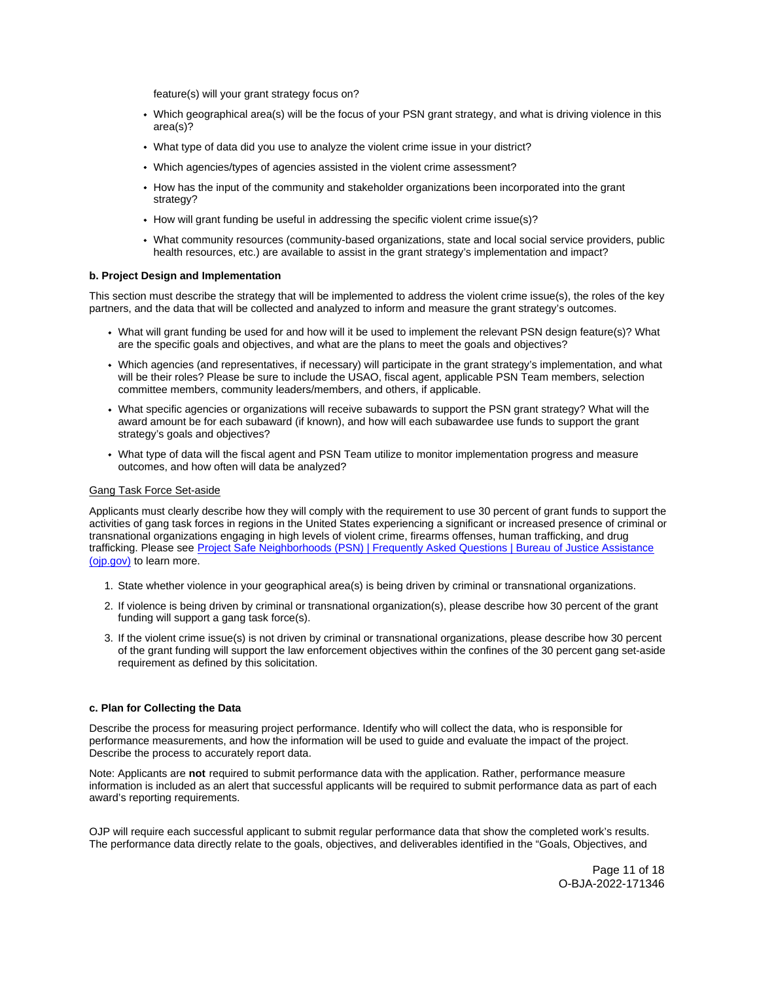feature(s) will your grant strategy focus on?

- Which geographical area(s) will be the focus of your PSN grant strategy, and what is driving violence in this area(s)?
- What type of data did you use to analyze the violent crime issue in your district?
- Which agencies/types of agencies assisted in the violent crime assessment?
- How has the input of the community and stakeholder organizations been incorporated into the grant strategy?
- How will grant funding be useful in addressing the specific violent crime issue(s)?
- What community resources (community-based organizations, state and local social service providers, public health resources, etc.) are available to assist in the grant strategy's implementation and impact?

## **b. Project Design and Implementation**

This section must describe the strategy that will be implemented to address the violent crime issue(s), the roles of the key partners, and the data that will be collected and analyzed to inform and measure the grant strategy's outcomes.

- What will grant funding be used for and how will it be used to implement the relevant PSN design feature(s)? What are the specific goals and objectives, and what are the plans to meet the goals and objectives?
- Which agencies (and representatives, if necessary) will participate in the grant strategy's implementation, and what will be their roles? Please be sure to include the USAO, fiscal agent, applicable PSN Team members, selection committee members, community leaders/members, and others, if applicable.
- What specific agencies or organizations will receive subawards to support the PSN grant strategy? What will the award amount be for each subaward (if known), and how will each subawardee use funds to support the grant strategy's goals and objectives?
- What type of data will the fiscal agent and PSN Team utilize to monitor implementation progress and measure outcomes, and how often will data be analyzed?

# Gang Task Force Set-aside

Applicants must clearly describe how they will comply with the requirement to use 30 percent of grant funds to support the activities of gang task forces in regions in the United States experiencing a significant or increased presence of criminal or transnational organizations engaging in high levels of violent crime, firearms offenses, human trafficking, and drug trafficking. Please see [Project Safe Neighborhoods \(PSN\) | Frequently Asked Questions | Bureau of Justice Assistance](https://bja.ojp.gov/program/project-safe-neighborhoods-psn/faqs)  [\(ojp.gov\)](https://bja.ojp.gov/program/project-safe-neighborhoods-psn/faqs) to learn more.

- 1. State whether violence in your geographical area(s) is being driven by criminal or transnational organizations.
- 2. If violence is being driven by criminal or transnational organization(s), please describe how 30 percent of the grant funding will support a gang task force(s).
- 3. If the violent crime issue(s) is not driven by criminal or transnational organizations, please describe how 30 percent of the grant funding will support the law enforcement objectives within the confines of the 30 percent gang set-aside requirement as defined by this solicitation.

## **c. Plan for Collecting the Data**

Describe the process for measuring project performance. Identify who will collect the data, who is responsible for performance measurements, and how the information will be used to guide and evaluate the impact of the project. Describe the process to accurately report data.

Note: Applicants are **not** required to submit performance data with the application. Rather, performance measure information is included as an alert that successful applicants will be required to submit performance data as part of each award's reporting requirements.

OJP will require each successful applicant to submit regular performance data that show the completed work's results. The performance data directly relate to the goals, objectives, and deliverables identified in the "Goals, Objectives, and

> Page 11 of 18 O-BJA-2022-171346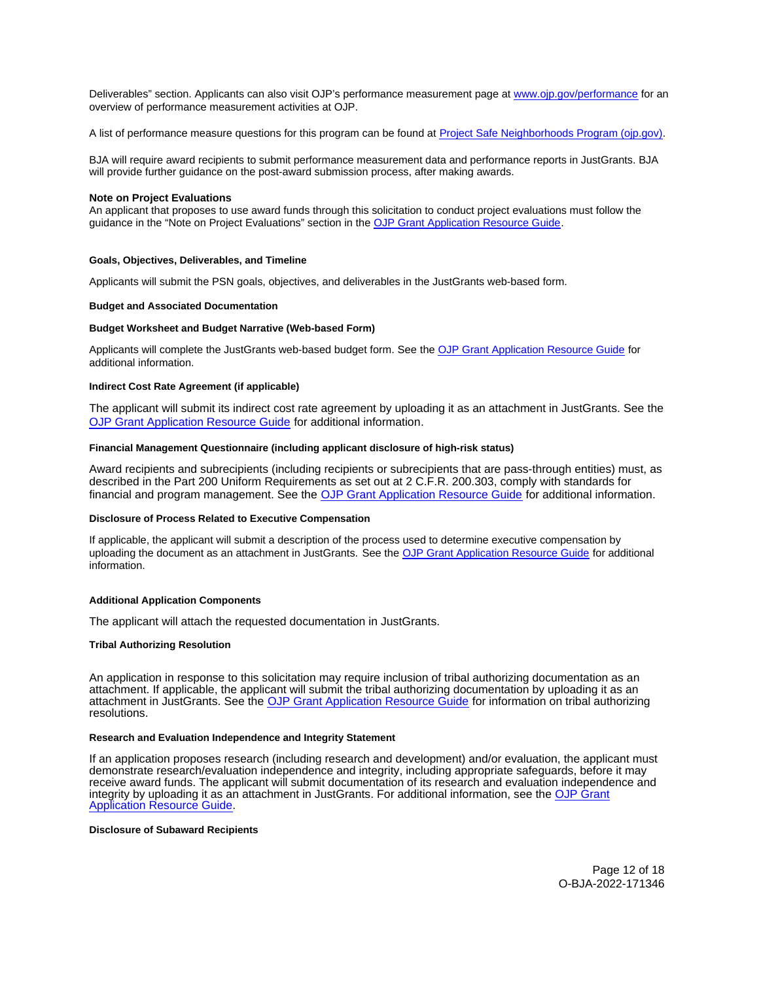<span id="page-11-0"></span>Deliverables" section. Applicants can also visit OJP's performance measurement page at [www.ojp.gov/performance](https://www.ojp.gov/performance) for an overview of performance measurement activities at OJP.

A list of performance measure questions for this program can be found at [Project Safe Neighborhoods Program \(ojp.gov\).](https://bja.ojp.gov/sites/g/files/xyckuh186/files/media/document/PSN-Measures.pdf)

BJA will require award recipients to submit performance measurement data and performance reports in JustGrants. BJA will provide further guidance on the post-award submission process, after making awards.

#### **Note on Project Evaluations**

An applicant that proposes to use award funds through this solicitation to conduct project evaluations must follow the guidance in the "Note on Project Evaluations" section in the [OJP Grant Application Resource Guide.](https://www.ojp.gov/funding/apply/ojp-grant-application-resource-guide#project-evaluations)

#### **Goals, Objectives, Deliverables, and Timeline**

Applicants will submit the PSN goals, objectives, and deliverables in the JustGrants web-based form.

#### **Budget and Associated Documentation**

## **Budget Worksheet and Budget Narrative (Web-based Form)**

Applicants will complete the JustGrants web-based budget form. See the [OJP Grant Application Resource Guide f](https://ojp.gov/funding/Apply/Resources/Grant-App-Resource-Guide.htm)or additional information.

# **Indirect Cost Rate Agreement (if applicable)**

The applicant will submit its indirect cost rate agreement by uploading it as an attachment in JustGrants. See the [OJP Grant Application Resource Guide](https://www.ojp.gov/funding/apply/ojp-grant-application-resource-guide#indirect-cost) for additional information.

# **Financial Management Questionnaire (including applicant disclosure of high-risk status)**

Award recipients and subrecipients (including recipients or subrecipients that are pass-through entities) must, as described in the Part 200 Uniform Requirements as set out at 2 C.F.R. 200.303, comply with standards for financial and program management. See the [OJP Grant Application Resource Guide](https://www.ojp.gov/funding/apply/ojp-grant-application-resource-guide#fm-internal-controls) for additional information.

## **Disclosure of Process Related to Executive Compensation**

If applicable, the applicant will submit a description of the process used to determine executive compensation by uploading the document as an attachment in JustGrants. See the [OJP Grant Application Resource Guide](https://www.ojp.gov/funding/apply/ojp-grant-application-resource-guide#disclosure-process-executive) for additional information.

## **Additional Application Components**

The applicant will attach the requested documentation in JustGrants.

#### **Tribal Authorizing Resolution**

An application in response to this solicitation may require inclusion of tribal authorizing documentation as an attachment. If applicable, the applicant will submit the tribal authorizing documentation by uploading it as an attachment in JustGrants. See the [OJP Grant Application Resource Guide](https://www.ojp.gov/funding/apply/ojp-grant-application-resource-guide#tribal-authorizing-resolution) for information on tribal authorizing resolutions.

#### **Research and Evaluation Independence and Integrity Statement**

If an application proposes research (including research and development) and/or evaluation, the applicant must demonstrate research/evaluation independence and integrity, including appropriate safeguards, before it may receive award funds. The applicant will submit documentation of its research and evaluation independence and integrity by uploading it as an attachment in JustGrants. For additional information, see the [OJP Grant](https://www.ojp.gov/funding/apply/ojp-grant-application-resource-guide#research-evaluation)  [Application Resource Guide.](https://www.ojp.gov/funding/apply/ojp-grant-application-resource-guide#research-evaluation)

#### **Disclosure of Subaward Recipients**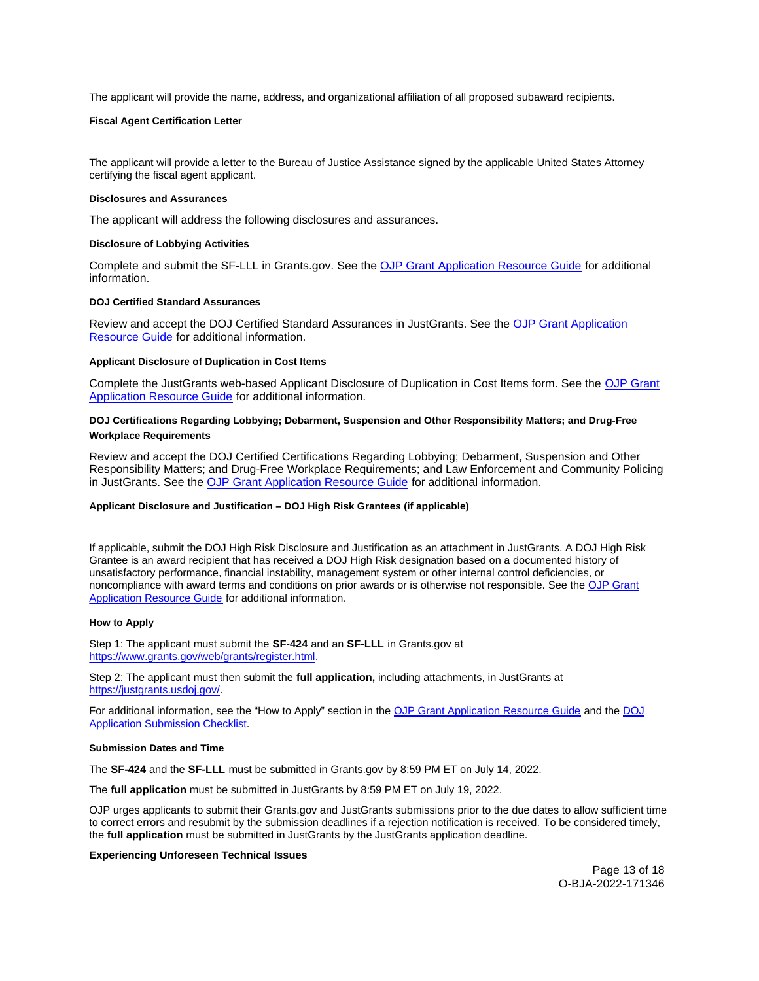<span id="page-12-0"></span>The applicant will provide the name, address, and organizational affiliation of all proposed subaward recipients.

## **Fiscal Agent Certification Letter**

The applicant will provide a letter to the Bureau of Justice Assistance signed by the applicable United States Attorney certifying the fiscal agent applicant.

#### **Disclosures and Assurances**

The applicant will address the following disclosures and assurances.

## **Disclosure of Lobbying Activities**

Complete and submit the SF-LLL in [Grants.gov.](https://Grants.gov) See the [OJP Grant Application Resource Guide](https://www.ojp.gov/funding/apply/ojp-grant-application-resource-guide#disclosure-lobby) for additional information.

## **DOJ Certified Standard Assurances**

Review and accept the DOJ Certified Standard Assurances in JustGrants. See the [OJP Grant Application](https://www.ojp.gov/funding/apply/ojp-grant-application-resource-guide#administrative) [Resource Guide](https://www.ojp.gov/funding/apply/ojp-grant-application-resource-guide#administrative) for additional information.

#### **Applicant Disclosure of Duplication in Cost Items**

Complete the JustGrants web-based Applicant Disclosure of Duplication in Cost Items form. See the [OJP Grant](https://www.ojp.gov/funding/apply/ojp-grant-application-resource-guide#applicant-disclosure-pending-applications) [Application Resource Guide](https://www.ojp.gov/funding/apply/ojp-grant-application-resource-guide#applicant-disclosure-pending-applications) for additional information.

# **DOJ Certifications Regarding Lobbying; Debarment, Suspension and Other Responsibility Matters; and Drug-Free Workplace Requirements**

Review and accept the DOJ Certified Certifications Regarding Lobbying; Debarment, Suspension and Other Responsibility Matters; and Drug-Free Workplace Requirements; and Law Enforcement and Community Policing in JustGrants. See the [OJP Grant Application Resource Guide](https://www.ojp.gov/funding/apply/ojp-grant-application-resource-guide#administrative) for additional information.

## **Applicant Disclosure and Justification – DOJ High Risk Grantees (if applicable)**

If applicable, submit the DOJ High Risk Disclosure and Justification as an attachment in JustGrants. A DOJ High Risk Grantee is an award recipient that has received a DOJ High Risk designation based on a documented history of unsatisfactory performance, financial instability, management system or other internal control deficiencies, or noncompliance with award terms and conditions on prior awards or is otherwise not responsible. See the [OJP Grant](https://www.ojp.gov/funding/apply/ojp-grant-application-resource-guide#applicant-disclosure-justification)  [Application Resource Guide](https://www.ojp.gov/funding/apply/ojp-grant-application-resource-guide#applicant-disclosure-justification) for additional information.

#### **How to Apply**

Step 1: The applicant must submit the **SF-424** and an **SF-LLL** in [Grants.gov](https://Grants.gov) at [https://www.grants.gov/web/grants/register.html.](https://www.grants.gov/web/grants/register.html)

Step 2: The applicant must then submit the **full application,** including attachments, in JustGrants at [https://justgrants.usdoj.gov/.](https://justgrants.usdoj.gov/)

For additional information, see the "How to Apply" section in the [OJP Grant Application Resource Guide](https://www.ojp.gov/funding/apply/ojp-grant-application-resource-guide#apply) and the [DOJ](https://justicegrants.usdoj.gov/sites/g/files/xyckuh296/files/media/document/appln-submission-checklist.pdf)  [Application Submission Checklist.](https://justicegrants.usdoj.gov/sites/g/files/xyckuh296/files/media/document/appln-submission-checklist.pdf)

#### **Submission Dates and Time**

The **SF-424** and the **SF-LLL** must be submitted in [Grants.gov](https://Grants.gov) by 8:59 PM ET on July 14, 2022.

The **full application** must be submitted in JustGrants by 8:59 PM ET on July 19, 2022.

OJP urges applicants to submit their [Grants.gov](https://Grants.gov) and JustGrants submissions prior to the due dates to allow sufficient time to correct errors and resubmit by the submission deadlines if a rejection notification is received. To be considered timely, the **full application** must be submitted in JustGrants by the JustGrants application deadline.

#### **Experiencing Unforeseen Technical Issues**

Page 13 of 18 O-BJA-2022-171346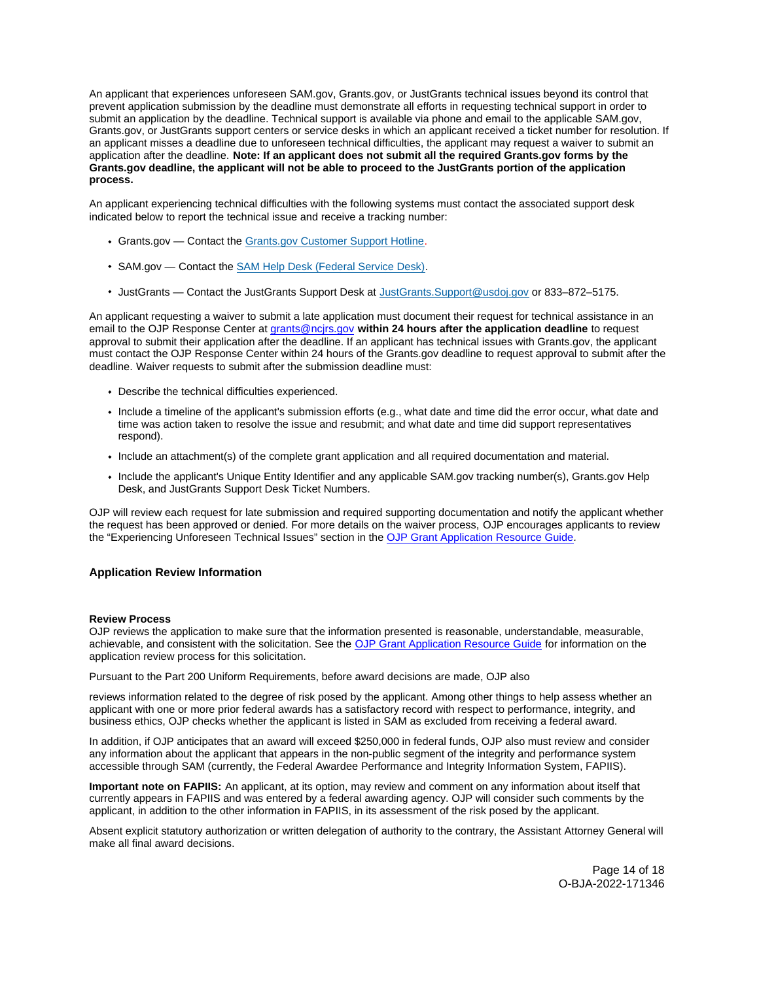<span id="page-13-0"></span>An applicant that experiences unforeseen SAM.gov, [Grants.gov,](https://Grants.gov) or JustGrants technical issues beyond its control that prevent application submission by the deadline must demonstrate all efforts in requesting technical support in order to submit an application by the deadline. Technical support is available via phone and email to the applicable SAM.gov, [Grants.gov](https://Grants.gov), or JustGrants support centers or service desks in which an applicant received a ticket number for resolution. If an applicant misses a deadline due to unforeseen technical difficulties, the applicant may request a waiver to submit an application after the deadline. **Note: If an applicant does not submit all the required [Grants.gov](https://Grants.gov) forms by the [Grants.gov](https://Grants.gov) deadline, the applicant will not be able to proceed to the JustGrants portion of the application process.** 

An applicant experiencing technical difficulties with the following systems must contact the associated support desk indicated below to report the technical issue and receive a tracking number:

- [Grants.gov](https://Grants.gov)  Contact the [Grants.gov Customer Support Hotline.](https://www.grants.gov/web/grants/support.html)
- SAM.gov Contact the [SAM Help Desk \(Federal Service Desk\).](https://www.fsd.gov/gsafsd_sp)
- JustGrants Contact the JustGrants Support Desk at [JustGrants.Support@usdoj.gov](mailto:JustGrants.Support@usdoj.gov) or 833–872–5175.

An applicant requesting a waiver to submit a late application must document their request for technical assistance in an email to the OJP Response Center at [grants@ncjrs.gov](mailto:grants@ncjrs.gov) **within 24 hours after the application deadline** to request approval to submit their application after the deadline. If an applicant has technical issues with [Grants.gov](https://Grants.gov), the applicant must contact the OJP Response Center within 24 hours of the [Grants.gov](https://Grants.gov) deadline to request approval to submit after the deadline. Waiver requests to submit after the submission deadline must:

- Describe the technical difficulties experienced.
- Include a timeline of the applicant's submission efforts (e.g., what date and time did the error occur, what date and time was action taken to resolve the issue and resubmit; and what date and time did support representatives respond).
- Include an attachment(s) of the complete grant application and all required documentation and material.
- Include the applicant's Unique Entity Identifier and any applicable SAM.gov tracking number(s), [Grants.gov](https://Grants.gov) Help Desk, and JustGrants Support Desk Ticket Numbers.

OJP will review each request for late submission and required supporting documentation and notify the applicant whether the request has been approved or denied. For more details on the waiver process, OJP encourages applicants to review the "Experiencing Unforeseen Technical Issues" section in the [OJP Grant Application Resource Guide](https://www.ojp.gov/funding/apply/ojp-grant-application-resource-guide#experiencing-unforeseen-technical-issues).

# **Application Review Information**

#### **Review Process**

OJP reviews the application to make sure that the information presented is reasonable, understandable, measurable, achievable, and consistent with the solicitation. See the [OJP Grant Application Resource Guide](https://www.ojp.gov/funding/apply/ojp-grant-application-resource-guide#application-review) for information on the application review process for this solicitation.

Pursuant to the Part 200 Uniform Requirements, before award decisions are made, OJP also

reviews information related to the degree of risk posed by the applicant. Among other things to help assess whether an applicant with one or more prior federal awards has a satisfactory record with respect to performance, integrity, and business ethics, OJP checks whether the applicant is listed in SAM as excluded from receiving a federal award.

In addition, if OJP anticipates that an award will exceed \$250,000 in federal funds, OJP also must review and consider any information about the applicant that appears in the non-public segment of the integrity and performance system accessible through SAM (currently, the Federal Awardee Performance and Integrity Information System, FAPIIS).

**Important note on FAPIIS:** An applicant, at its option, may review and comment on any information about itself that currently appears in FAPIIS and was entered by a federal awarding agency. OJP will consider such comments by the applicant, in addition to the other information in FAPIIS, in its assessment of the risk posed by the applicant.

Absent explicit statutory authorization or written delegation of authority to the contrary, the Assistant Attorney General will make all final award decisions.

> Page 14 of 18 O-BJA-2022-171346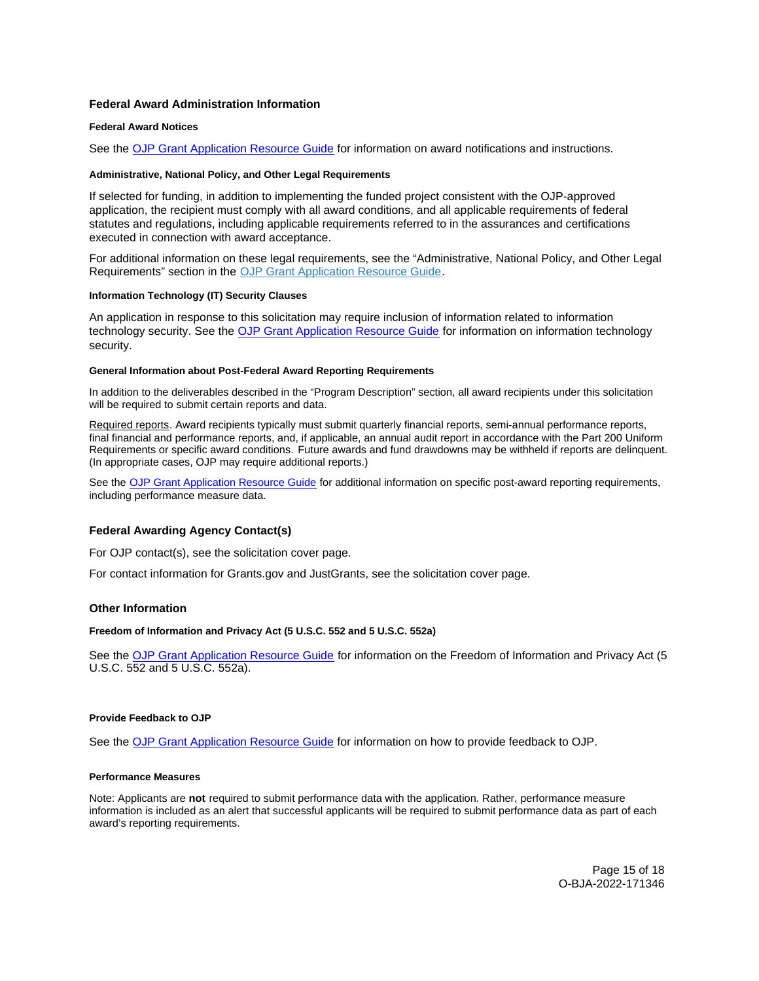# <span id="page-14-0"></span>**Federal Award Administration Information**

## **Federal Award Notices**

See the [OJP Grant Application Resource Guide](https://www.ojp.gov/funding/apply/ojp-grant-application-resource-guide#federal-award-notices) for information on award notifications and instructions.

## **Administrative, National Policy, and Other Legal Requirements**

If selected for funding, in addition to implementing the funded project consistent with the OJP-approved application, the recipient must comply with all award conditions, and all applicable requirements of federal statutes and regulations, including applicable requirements referred to in the assurances and certifications executed in connection with award acceptance.

For additional information on these legal requirements, see the "Administrative, National Policy, and Other Legal Requirements" section in the [OJP Grant Application Resource Guide.](https://www.ojp.gov/funding/apply/ojp-grant-application-resource-guide#administrative)

## **Information Technology (IT) Security Clauses**

An application in response to this solicitation may require inclusion of information related to information technology security. See the [OJP Grant Application Resource Guide](https://www.ojp.gov/funding/apply/ojp-grant-application-resource-guide#information-technology) for information on information technology security.

## **General Information about Post-Federal Award Reporting Requirements**

In addition to the deliverables described in the "Program Description" section, all award recipients under this solicitation will be required to submit certain reports and data.

Required reports. Award recipients typically must submit quarterly financial reports, semi-annual performance reports, final financial and performance reports, and, if applicable, an annual audit report in accordance with the Part 200 Uniform Requirements or specific award conditions. Future awards and fund drawdowns may be withheld if reports are delinquent. (In appropriate cases, OJP may require additional reports.)

See the [OJP Grant Application Resource Guide](https://www.ojp.gov/funding/apply/ojp-grant-application-resource-guide#general-information) for additional information on specific post-award reporting requirements, including performance measure data.

# **Federal Awarding Agency Contact(s)**

For OJP contact(s), see the solicitation cover page.

For contact information for [Grants.gov](https://Grants.gov) and JustGrants, see the solicitation cover page.

## **Other Information**

## **Freedom of Information and Privacy Act (5 U.S.C. 552 and 5 U.S.C. 552a)**

See the [OJP Grant Application Resource Guide](https://www.ojp.gov/funding/apply/ojp-grant-application-resource-guide#foia) for information on the Freedom of Information and Privacy Act (5 U.S.C. 552 and 5 U.S.C. 552a).

## **Provide Feedback to OJP**

See the [OJP Grant Application Resource Guide](https://www.ojp.gov/funding/apply/ojp-grant-application-resource-guide#feedback) for information on how to provide feedback to OJP.

# **Performance Measures**

Note: Applicants are **not** required to submit performance data with the application. Rather, performance measure information is included as an alert that successful applicants will be required to submit performance data as part of each award's reporting requirements.

> Page 15 of 18 O-BJA-2022-171346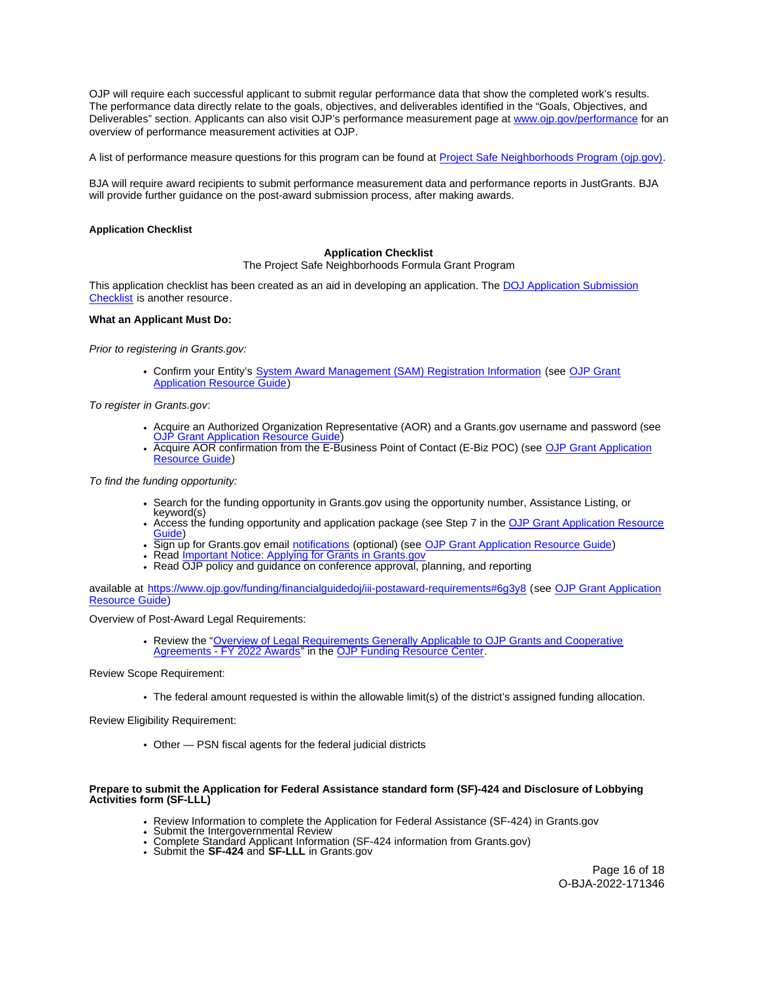<span id="page-15-0"></span>OJP will require each successful applicant to submit regular performance data that show the completed work's results. The performance data directly relate to the goals, objectives, and deliverables identified in the "Goals, Objectives, and Deliverables" section. Applicants can also visit OJP's performance measurement page at [www.ojp.gov/performance](https://www.ojp.gov/performance) for an overview of performance measurement activities at OJP.

A list of performance measure questions for this program can be found at [Project Safe Neighborhoods Program \(ojp.gov\).](https://bja.ojp.gov/sites/g/files/xyckuh186/files/media/document/PSN-Measures.pdf)

BJA will require award recipients to submit performance measurement data and performance reports in JustGrants. BJA will provide further guidance on the post-award submission process, after making awards.

#### **Application Checklist**

## **Application Checklist**

The Project Safe Neighborhoods Formula Grant Program

This application checklist has been created as an aid in developing an application. The [DOJ Application Submission](https://justicegrants.usdoj.gov/sites/g/files/xyckuh296/files/media/document/appln-submission-checklist.pdf)  [Checklist](https://justicegrants.usdoj.gov/sites/g/files/xyckuh296/files/media/document/appln-submission-checklist.pdf) is another resource.

#### **What an Applicant Must Do:**

Prior to registering in [Grants.gov:](https://Grants.gov)

Confirm your Entity's [System Award Management \(SAM\)](https://sam.gov/SAM/) Registration Information (see [OJP Grant](https://www.ojp.gov/funding/apply/ojp-grant-application-resource-guide#apply)  [Application Resource Guide\)](https://www.ojp.gov/funding/apply/ojp-grant-application-resource-guide#apply)

To register in [Grants.gov](https://Grants.gov):

- [Acquire an Authorized Organization Rep](https://www.ojp.gov/funding/apply/ojp-grant-application-resource-guide#apply)resentative (AOR) and a [Grants.gov](https://Grants.gov) username and password (see<br>[OJP Grant Application Resource Guide\)](https://www.ojp.gov/funding/apply/ojp-grant-application-resource-guide#apply)
- Acquire AOR confirmation from the E-Business Point of Contact (E-Biz POC) (see OJP Grant Application [Resource Guide\)](https://www.ojp.gov/funding/apply/ojp-grant-application-resource-guide#apply)

To find the funding opportunity:

- Search for the funding opportunity in [Grants.gov](https://Grants.gov) using the opportunity number, Assistance Listing, or keyword(s)
- Access the funding opportunity and application package (see Step 7 in the [OJP Grant Application Resource](https://www.ojp.gov/funding/apply/ojp-grant-application-resource-guide#apply)  [Guide\)](https://www.ojp.gov/funding/apply/ojp-grant-application-resource-guide#apply)
- . Sign up for [Grants.gov](https://Grants.gov) email [notifications](https://www.grants.gov/web/grants/manage-subscriptions.html) (optional) (see [OJP Grant Application Resource Guide\)](https://www.ojp.gov/funding/apply/ojp-grant-application-resource-guide#apply)
- Read Important Notice: Applying for Grants in Grants.gov
- Read OJP policy and guidance on conference approval, planning, and reporting

available at <https://www.ojp.gov/funding/financialguidedoj/iii-postaward-requirements#6g3y8>(see [OJP Grant Application](https://www.ojp.gov/funding/apply/ojp-grant-application-resource-guide#prior-approval)  [Resource Guide\)](https://www.ojp.gov/funding/apply/ojp-grant-application-resource-guide#prior-approval)

Overview of Post-Award Legal Requirements:

Review the "[Overview of Legal Requirements Generally Applicable to OJP Grants and Cooperative](https://www.ojp.gov/funding/explore/legal-overview-awards)  [Agreements - FY 2022 Awards"](https://www.ojp.gov/funding/explore/legal-overview-awards) in the [OJP Funding Resource Center.](https://www.ojp.gov/funding/explore/legal-overview-awards)

Review Scope Requirement:

The federal amount requested is within the allowable limit(s) of the district's assigned funding allocation.

Review Eligibility Requirement:

Other — PSN fiscal agents for the federal judicial districts

#### **Prepare to submit the Application for Federal Assistance standard form (SF)-424 and Disclosure of Lobbying Activities form (SF-LLL)**

- Review Information to complete the Application for Federal Assistance (SF-424) in [Grants.gov](https://Grants.gov)<br>• Submit the Intergovernmental Review<br>• Complete Standard Applicant Information (SF-424 information from [Grants.gov\)](https://Grants.gov)<br>• Submit t
- 
- 

Page 16 of 18 O-BJA-2022-171346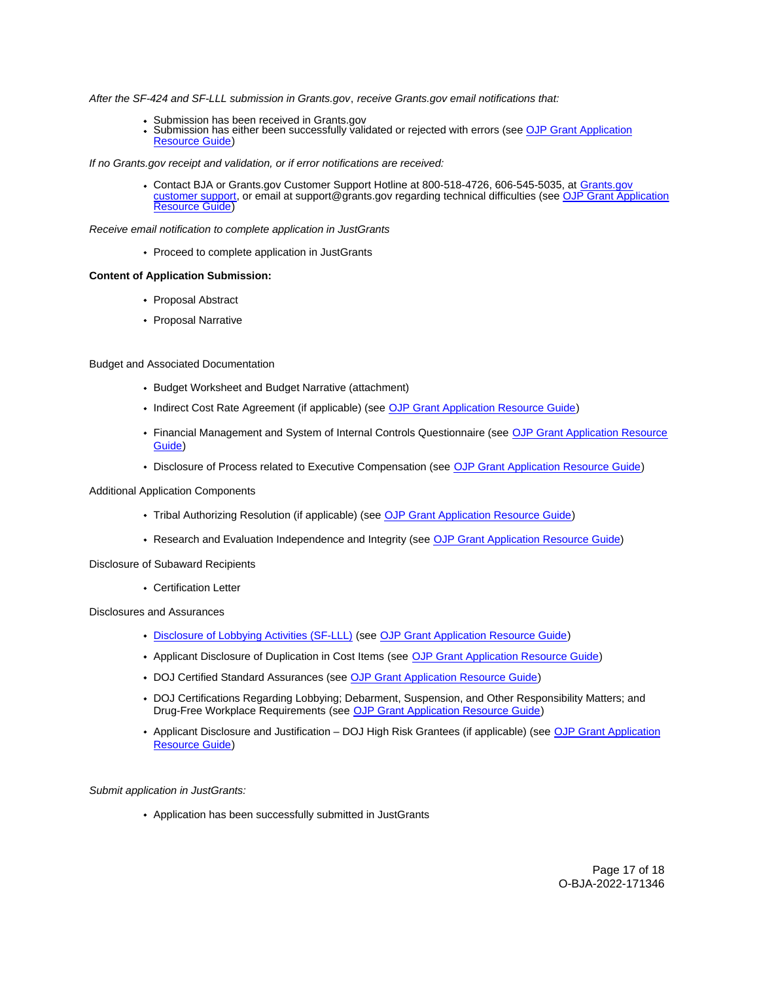After the SF-424 and SF-LLL submission in [Grants.gov](https://Grants.gov), receive [Grants.gov](https://Grants.gov) email notifications that:

- 
- Submission has been received in Grants.gov<br>• Submission has either been succ[essfully valid](https://Grants.gov)ated or rejected with errors (see OJP Grant Application [Resource Guide\)](https://www.ojp.gov/funding/apply/ojp-grant-application-resource-guide#apply)

If no [Grants.gov](https://Grants.gov) receipt and validation, or if error notifications are received:

Contact BJA or [Grants.gov](https://Grants.gov) Customer Support Hotline at 800-518-4726, 606-545-5035, at [Grants.gov](https://www.grants.gov/web/grants/support.html)  [customer support,](https://www.grants.gov/web/grants/support.html) or email at [support@grants.gov](mailto:support@grants.gov) regarding technical difficulties (see [OJP Grant Application](https://www.ojp.gov/funding/apply/ojp-grant-application-resource-guide#apply)  [Resource Guide\)](https://www.ojp.gov/funding/apply/ojp-grant-application-resource-guide#apply)

Receive email notification to complete application in JustGrants

• Proceed to complete application in JustGrants

#### **Content of Application Submission:**

- Proposal Abstract
- Proposal Narrative

#### Budget and Associated Documentation

- Budget Worksheet and Budget Narrative (attachment)
- Indirect Cost Rate Agreement (if applicable) (see [OJP Grant Application Resource Guide\)](https://www.ojp.gov/funding/apply/ojp-grant-application-resource-guide#indirect-cost)
- Financial Management and System of Internal Controls Questionnaire (see [OJP Grant Application Resource](https://www.ojp.gov/funding/apply/ojp-grant-application-resource-guide#fm-internal-controls-questionnaire)  [Guide\)](https://www.ojp.gov/funding/apply/ojp-grant-application-resource-guide#fm-internal-controls-questionnaire)
- Disclosure of Process related to Executive Compensation (see [OJP Grant Application Resource Guide\)](https://www.ojp.gov/funding/apply/ojp-grant-application-resource-guide#disclosure-process-executive)

# Additional Application Components

- Tribal Authorizing Resolution (if applicable) (see [OJP Grant Application Resource Guide\)](https://www.ojp.gov/funding/apply/ojp-grant-application-resource-guide#tribal-authorizing-resolution)
- Research and Evaluation Independence and Integrity (see [OJP Grant Application Resource Guide\)](https://www.ojp.gov/funding/apply/ojp-grant-application-resource-guide#research-evaluation)

#### Disclosure of Subaward Recipients

Certification Letter

Disclosures and Assurances

- [Disclosure of Lobbying Activities \(SF-LLL\)](https://ojp.gov/funding/Apply/Resources/Disclosure.pdf) (see [OJP Grant Application Resource Guide\)](https://www.ojp.gov/funding/apply/ojp-grant-application-resource-guide#disclosure-lobby)
- Applicant Disclosure of Duplication in Cost Items (see [OJP Grant Application Resource Guide\)](https://www.ojp.gov/funding/apply/ojp-grant-application-resource-guide#applicant-disclosure-pending-applications)
- DOJ Certified Standard Assurances (see [OJP Grant Application Resource Guide\)](https://www.ojp.gov/funding/apply/ojp-grant-application-resource-guide#administrative)
- DOJ Certifications Regarding Lobbying; Debarment, Suspension, and Other Responsibility Matters; and Drug-Free Workplace Requirements (see [OJP Grant Application Resource Guide\)](https://www.ojp.gov/funding/apply/ojp-grant-application-resource-guide#administrative)
- Applicant Disclosure and Justification DOJ High Risk Grantees (if applicable) (see [OJP Grant Application](https://www.ojp.gov/funding/apply/ojp-grant-application-resource-guide#applicant-disclosure-justification)  [Resource Guide\)](https://www.ojp.gov/funding/apply/ojp-grant-application-resource-guide#applicant-disclosure-justification)

#### Submit application in JustGrants:

Application has been successfully submitted in JustGrants